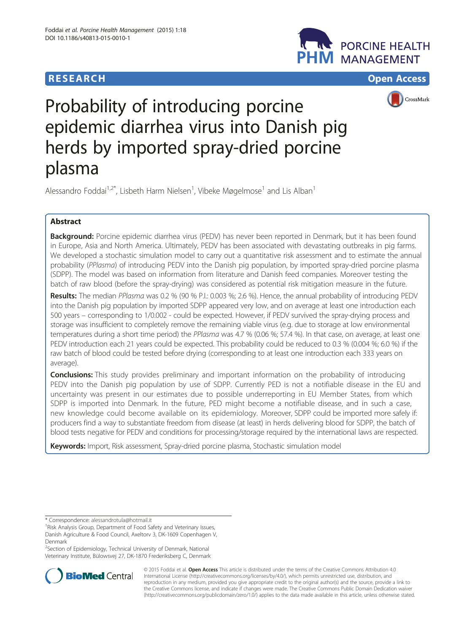# **RESEARCH CHEAR CHEAR CHEAR CHEAR CHEAR CHEAR CHEAR CHEAR CHEAR CHEAR CHEAR CHEAR CHEAR CHEAR CHEAR CHEAR CHEAR**





# Probability of introducing porcine epidemic diarrhea virus into Danish pig herds by imported spray-dried porcine plasma

Alessandro Foddai<sup>1,2\*</sup>, Lisbeth Harm Nielsen<sup>1</sup>, Vibeke Møgelmose<sup>1</sup> and Lis Alban<sup>1</sup>

## Abstract

Background: Porcine epidemic diarrhea virus (PEDV) has never been reported in Denmark, but it has been found in Europe, Asia and North America. Ultimately, PEDV has been associated with devastating outbreaks in pig farms. We developed a stochastic simulation model to carry out a quantitative risk assessment and to estimate the annual probability (PPlasma) of introducing PEDV into the Danish pig population, by imported spray-dried porcine plasma (SDPP). The model was based on information from literature and Danish feed companies. Moreover testing the batch of raw blood (before the spray-drying) was considered as potential risk mitigation measure in the future.

Results: The median PPlasma was 0.2 % (90 % P.I.: 0.003 %; 2.6 %). Hence, the annual probability of introducing PEDV into the Danish pig population by imported SDPP appeared very low, and on average at least one introduction each 500 years – corresponding to 1/0.002 - could be expected. However, if PEDV survived the spray-drying process and storage was insufficient to completely remove the remaining viable virus (e.g. due to storage at low environmental temperatures during a short time period) the PPlasma was 4.7 % (0.06 %; 57.4 %). In that case, on average, at least one PEDV introduction each 21 years could be expected. This probability could be reduced to 0.3 % (0.004 %; 6.0 %) if the raw batch of blood could be tested before drying (corresponding to at least one introduction each 333 years on average).

**Conclusions:** This study provides preliminary and important information on the probability of introducing PEDV into the Danish pig population by use of SDPP. Currently PED is not a notifiable disease in the EU and uncertainty was present in our estimates due to possible underreporting in EU Member States, from which SDPP is imported into Denmark. In the future, PED might become a notifiable disease, and in such a case, new knowledge could become available on its epidemiology. Moreover, SDPP could be imported more safely if: producers find a way to substantiate freedom from disease (at least) in herds delivering blood for SDPP, the batch of blood tests negative for PEDV and conditions for processing/storage required by the international laws are respected.

Keywords: Import, Risk assessment, Spray-dried porcine plasma, Stochastic simulation model

<sup>2</sup>Section of Epidemiology, Technical University of Denmark, National Veterinary Institute, Bülowsvej 27, DK-1870 Frederiksberg C, Denmark



© 2015 Foddai et al. Open Access This article is distributed under the terms of the Creative Commons Attribution 4.0 International License [\(http://creativecommons.org/licenses/by/4.0/](http://creativecommons.org/licenses/by/4.0/)), which permits unrestricted use, distribution, and reproduction in any medium, provided you give appropriate credit to the original author(s) and the source, provide a link to the Creative Commons license, and indicate if changes were made. The Creative Commons Public Domain Dedication waiver [\(http://creativecommons.org/publicdomain/zero/1.0/](http://creativecommons.org/publicdomain/zero/1.0/)) applies to the data made available in this article, unless otherwise stated.

<sup>\*</sup> Correspondence: [alessandrotula@hotmail.it](mailto:alessandrotula@hotmail.it) <sup>1</sup>

<sup>&</sup>lt;sup>1</sup>Risk Analysis Group, Department of Food Safety and Veterinary Issues, Danish Agriculture & Food Council, Axeltorv 3, DK-1609 Copenhagen V, Denmark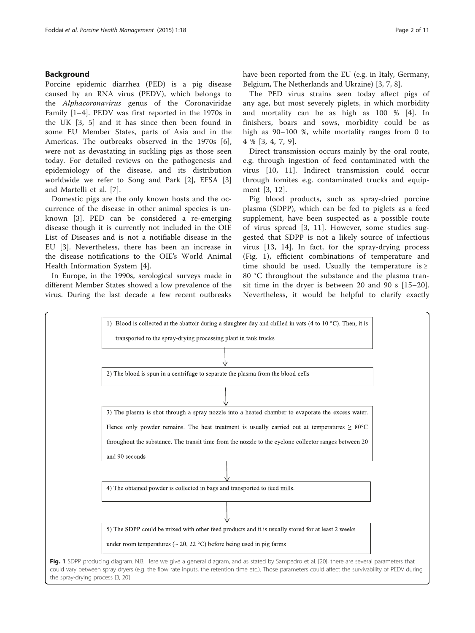#### <span id="page-1-0"></span>Background

Porcine epidemic diarrhea (PED) is a pig disease caused by an RNA virus (PEDV), which belongs to the Alphacoronavirus genus of the Coronaviridae Family [\[1](#page-9-0)–[4](#page-9-0)]. PEDV was first reported in the 1970s in the UK [[3](#page-9-0), [5\]](#page-9-0) and it has since then been found in some EU Member States, parts of Asia and in the Americas. The outbreaks observed in the 1970s [\[6](#page-9-0)], were not as devastating in suckling pigs as those seen today. For detailed reviews on the pathogenesis and epidemiology of the disease, and its distribution worldwide we refer to Song and Park [[2\]](#page-9-0), EFSA [\[3](#page-9-0)] and Martelli et al. [\[7](#page-9-0)].

Domestic pigs are the only known hosts and the occurrence of the disease in other animal species is unknown [[3](#page-9-0)]. PED can be considered a re-emerging disease though it is currently not included in the OIE List of Diseases and is not a notifiable disease in the EU [\[3](#page-9-0)]. Nevertheless, there has been an increase in the disease notifications to the OIE's World Animal Health Information System [\[4](#page-9-0)].

In Europe, in the 1990s, serological surveys made in different Member States showed a low prevalence of the virus. During the last decade a few recent outbreaks have been reported from the EU (e.g. in Italy, Germany, Belgium, The Netherlands and Ukraine) [\[3](#page-9-0), [7](#page-9-0), [8](#page-9-0)].

The PED virus strains seen today affect pigs of any age, but most severely piglets, in which morbidity and mortality can be as high as 100 % [[4\]](#page-9-0). In finishers, boars and sows, morbidity could be as high as 90–100 %, while mortality ranges from 0 to 4 % [[3, 4, 7](#page-9-0), [9](#page-9-0)].

Direct transmission occurs mainly by the oral route, e.g. through ingestion of feed contaminated with the virus [[10, 11](#page-9-0)]. Indirect transmission could occur through fomites e.g. contaminated trucks and equipment [\[3](#page-9-0), [12\]](#page-9-0).

Pig blood products, such as spray-dried porcine plasma (SDPP), which can be fed to piglets as a feed supplement, have been suspected as a possible route of virus spread [[3, 11](#page-9-0)]. However, some studies suggested that SDPP is not a likely source of infectious virus [\[13](#page-9-0), [14](#page-9-0)]. In fact, for the spray-drying process (Fig. 1), efficient combinations of temperature and time should be used. Usually the temperature is  $\ge$ 80 °C throughout the substance and the plasma transit time in the dryer is between 20 and 90 s [[15](#page-9-0)–[20](#page-9-0)]. Nevertheless, it would be helpful to clarify exactly

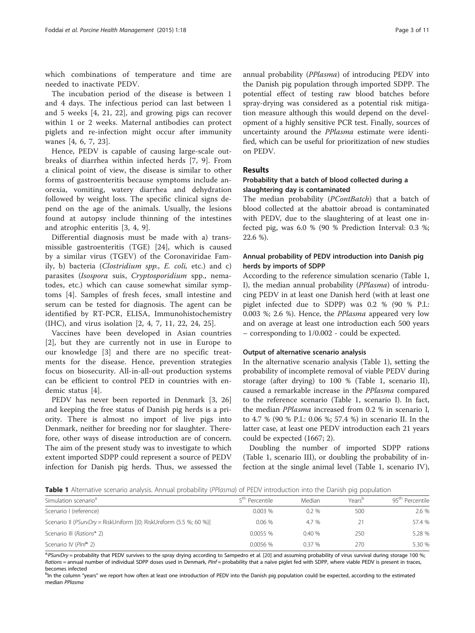<span id="page-2-0"></span>which combinations of temperature and time are needed to inactivate PEDV.

The incubation period of the disease is between 1 and 4 days. The infectious period can last between 1 and 5 weeks [[4](#page-9-0), [21](#page-9-0), [22](#page-9-0)], and growing pigs can recover within 1 or 2 weeks. Maternal antibodies can protect piglets and re-infection might occur after immunity wanes [\[4](#page-9-0), [6](#page-9-0), [7,](#page-9-0) [23\]](#page-10-0).

Hence, PEDV is capable of causing large-scale outbreaks of diarrhea within infected herds [[7, 9\]](#page-9-0). From a clinical point of view, the disease is similar to other forms of gastroenteritis because symptoms include anorexia, vomiting, watery diarrhea and dehydration followed by weight loss. The specific clinical signs depend on the age of the animals. Usually, the lesions found at autopsy include thinning of the intestines and atrophic enteritis [[3, 4, 9\]](#page-9-0).

Differential diagnosis must be made with a) transmissible gastroenteritis (TGE) [\[24](#page-10-0)], which is caused by a similar virus (TGEV) of the Coronaviridae Family, b) bacteria (Clostridium spp., E. coli, etc.) and c) parasites (Isospora suis, Cryptosporidium spp., nematodes, etc.) which can cause somewhat similar symptoms [[4\]](#page-9-0). Samples of fresh feces, small intestine and serum can be tested for diagnosis. The agent can be identified by RT-PCR, ELISA, Immunohistochemistry (IHC), and virus isolation [\[2](#page-9-0), [4](#page-9-0), [7, 11, 22,](#page-9-0) [24](#page-10-0), [25](#page-10-0)].

Vaccines have been developed in Asian countries [[2\]](#page-9-0), but they are currently not in use in Europe to our knowledge [\[3](#page-9-0)] and there are no specific treatments for the disease. Hence, prevention strategies focus on biosecurity. All-in-all-out production systems can be efficient to control PED in countries with endemic status [\[4](#page-9-0)].

PEDV has never been reported in Denmark [\[3](#page-9-0), [26](#page-10-0)] and keeping the free status of Danish pig herds is a priority. There is almost no import of live pigs into Denmark, neither for breeding nor for slaughter. Therefore, other ways of disease introduction are of concern. The aim of the present study was to investigate to which extent imported SDPP could represent a source of PEDV infection for Danish pig herds. Thus, we assessed the annual probability (PPlasma) of introducing PEDV into the Danish pig population through imported SDPP. The potential effect of testing raw blood batches before spray-drying was considered as a potential risk mitigation measure although this would depend on the development of a highly sensitive PCR test. Finally, sources of uncertainty around the PPlasma estimate were identified, which can be useful for prioritization of new studies on PEDV.

### Results

#### Probability that a batch of blood collected during a slaughtering day is contaminated

The median probability (PContBatch) that a batch of blood collected at the abattoir abroad is contaminated with PEDV, due to the slaughtering of at least one infected pig, was 6.0 % (90 % Prediction Interval: 0.3 %; 22.6 %).

#### Annual probability of PEDV introduction into Danish pig herds by imports of SDPP

According to the reference simulation scenario (Table 1, I), the median annual probability (PPlasma) of introducing PEDV in at least one Danish herd (with at least one piglet infected due to SDPP) was 0.2 % (90 % P.I.: 0.003 %; 2.6 %). Hence, the PPlasma appeared very low and on average at least one introduction each 500 years – corresponding to 1/0.002 - could be expected.

#### Output of alternative scenario analysis

In the alternative scenario analysis (Table 1), setting the probability of incomplete removal of viable PEDV during storage (after drying) to 100 % (Table 1, scenario II), caused a remarkable increase in the PPlasma compared to the reference scenario (Table 1, scenario I). In fact, the median PPlasma increased from 0.2 % in scenario I, to 4.7 % (90 % P.I.: 0.06 %; 57.4 %) in scenario II. In the latter case, at least one PEDV introduction each 21 years could be expected (1667; 2).

Doubling the number of imported SDPP rations (Table 1, scenario III), or doubling the probability of infection at the single animal level (Table 1, scenario IV),

Table 1 Alternative scenario analysis. Annual probability (PPlasma) of PEDV introduction into the Danish pig population

| Simulation scenario <sup>a</sup>                                    | 5 <sup>th</sup> Percentile | Median | Years <sup>p</sup> | 95 <sup>th</sup> Percentile |
|---------------------------------------------------------------------|----------------------------|--------|--------------------|-----------------------------|
| Scenario I (reference)                                              | 0.003%                     | 0.2%   | 500                | 2.6 %                       |
| Scenario II (PSurvDry = RiskUniform [(0; RiskUniform (5.5 %; 60 %)] | 0.06%                      | 4.7 %  |                    | 57.4 %                      |
| Scenario III (Rations* 2)                                           | 0.0055%                    | 0.40%  | 250                | 5.28 %                      |
| Scenario IV (Plnf* 2)                                               | 0.0056 %                   | 0.37 % | 270.               | 5.30 %                      |

<sup>a,</sup>PSurvDry = probability that PEDV survives to the spray drying according to Sampedro et al. [[20](#page-9-0)] and assuming probability of virus survival during storage 100 %;<br>Rations = annual number of individual SDPP doses used in Rations = annual number of individual SDPP doses used in Denmark, PInf = probability that a naïve piglet fed with SDPP, where viable PEDV is present in traces, becomes infected

<sup>b</sup>In the column "years" we report how often at least one introduction of PEDV into the Danish pig population could be expected, according to the estimated median PPlasma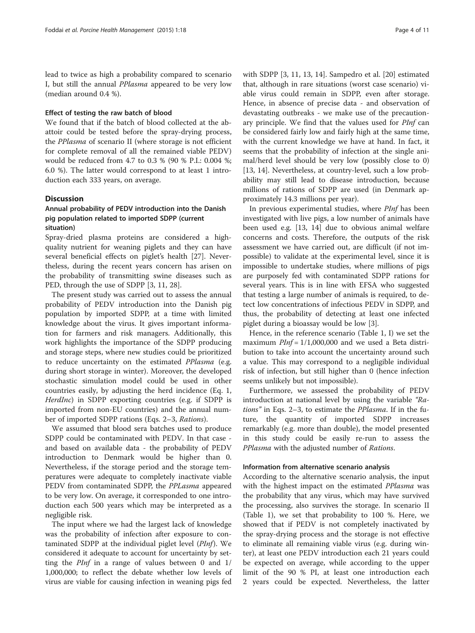lead to twice as high a probability compared to scenario I, but still the annual PPlasma appeared to be very low (median around 0.4 %).

#### Effect of testing the raw batch of blood

We found that if the batch of blood collected at the abattoir could be tested before the spray-drying process, the PPlasma of scenario II (where storage is not efficient for complete removal of all the remained viable PEDV) would be reduced from 4.7 to 0.3 % (90 % P.I.: 0.004 %; 6.0 %). The latter would correspond to at least 1 introduction each 333 years, on average.

#### **Discussion**

### Annual probability of PEDV introduction into the Danish pig population related to imported SDPP (current situation)

Spray-dried plasma proteins are considered a highquality nutrient for weaning piglets and they can have several beneficial effects on piglet's health [[27\]](#page-10-0). Nevertheless, during the recent years concern has arisen on the probability of transmitting swine diseases such as PED, through the use of SDPP [[3, 11,](#page-9-0) [28\]](#page-10-0).

The present study was carried out to assess the annual probability of PEDV introduction into the Danish pig population by imported SDPP, at a time with limited knowledge about the virus. It gives important information for farmers and risk managers. Additionally, this work highlights the importance of the SDPP producing and storage steps, where new studies could be prioritized to reduce uncertainty on the estimated PPlasma (e.g. during short storage in winter). Moreover, the developed stochastic simulation model could be used in other countries easily, by adjusting the herd incidence (Eq. [1](#page-6-0), HerdInc) in SDPP exporting countries (e.g. if SDPP is imported from non-EU countries) and the annual number of imported SDPP rations (Eqs. [2](#page-8-0)–[3,](#page-9-0) Rations).

We assumed that blood sera batches used to produce SDPP could be contaminated with PEDV. In that case and based on available data - the probability of PEDV introduction to Denmark would be higher than 0. Nevertheless, if the storage period and the storage temperatures were adequate to completely inactivate viable PEDV from contaminated SDPP, the *PPLasma* appeared to be very low. On average, it corresponded to one introduction each 500 years which may be interpreted as a negligible risk.

The input where we had the largest lack of knowledge was the probability of infection after exposure to contaminated SDPP at the individual piglet level (PInf). We considered it adequate to account for uncertainty by setting the PInf in a range of values between 0 and 1/ 1,000,000; to reflect the debate whether low levels of virus are viable for causing infection in weaning pigs fed with SDPP [[3, 11, 13, 14\]](#page-9-0). Sampedro et al. [\[20](#page-9-0)] estimated that, although in rare situations (worst case scenario) viable virus could remain in SDPP, even after storage. Hence, in absence of precise data - and observation of devastating outbreaks - we make use of the precautionary principle. We find that the values used for PInf can be considered fairly low and fairly high at the same time, with the current knowledge we have at hand. In fact, it seems that the probability of infection at the single animal/herd level should be very low (possibly close to 0) [[13, 14\]](#page-9-0). Nevertheless, at country-level, such a low probability may still lead to disease introduction, because millions of rations of SDPP are used (in Denmark approximately 14.3 millions per year).

In previous experimental studies, where PInf has been investigated with live pigs, a low number of animals have been used e.g. [[13](#page-9-0), [14](#page-9-0)] due to obvious animal welfare concerns and costs. Therefore, the outputs of the risk assessment we have carried out, are difficult (if not impossible) to validate at the experimental level, since it is impossible to undertake studies, where millions of pigs are purposely fed with contaminated SDPP rations for several years. This is in line with EFSA who suggested that testing a large number of animals is required, to detect low concentrations of infectious PEDV in SDPP, and thus, the probability of detecting at least one infected piglet during a bioassay would be low [\[3](#page-9-0)].

Hence, in the reference scenario (Table [1](#page-2-0), I) we set the maximum  $PInf = 1/1,000,000$  and we used a Beta distribution to take into account the uncertainty around such a value. This may correspond to a negligible individual risk of infection, but still higher than 0 (hence infection seems unlikely but not impossible).

Furthermore, we assessed the probability of PEDV introduction at national level by using the variable "Ra-tions" in Eqs. [2](#page-8-0)-[3,](#page-9-0) to estimate the PPlasma. If in the future, the quantity of imported SDPP increases remarkably (e.g. more than double), the model presented in this study could be easily re-run to assess the PPlasma with the adjusted number of Rations.

#### Information from alternative scenario analysis

According to the alternative scenario analysis, the input with the highest impact on the estimated *PPlasma* was the probability that any virus, which may have survived the processing, also survives the storage. In scenario II (Table [1](#page-2-0)), we set that probability to 100 %. Here, we showed that if PEDV is not completely inactivated by the spray-drying process and the storage is not effective to eliminate all remaining viable virus (e.g. during winter), at least one PEDV introduction each 21 years could be expected on average, while according to the upper limit of the 90 % PI, at least one introduction each 2 years could be expected. Nevertheless, the latter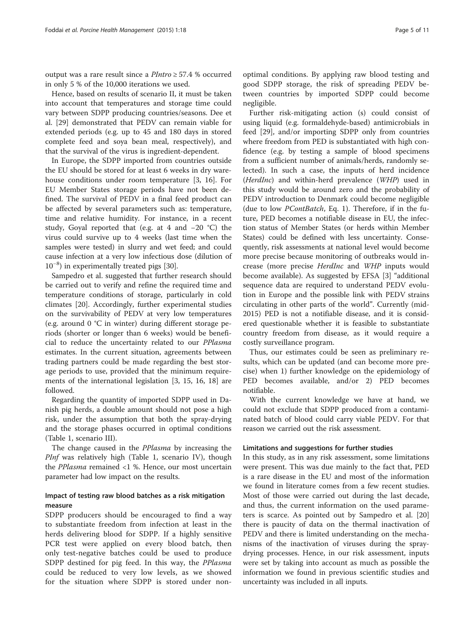output was a rare result since a  $Plntro \geq 57.4$  % occurred in only 5 % of the 10,000 iterations we used.

Hence, based on results of scenario II, it must be taken into account that temperatures and storage time could vary between SDPP producing countries/seasons. Dee et al. [\[29](#page-10-0)] demonstrated that PEDV can remain viable for extended periods (e.g. up to 45 and 180 days in stored complete feed and soya bean meal, respectively), and that the survival of the virus is ingredient-dependent.

In Europe, the SDPP imported from countries outside the EU should be stored for at least 6 weeks in dry warehouse conditions under room temperature [\[3](#page-9-0), [16\]](#page-9-0). For EU Member States storage periods have not been defined. The survival of PEDV in a final feed product can be affected by several parameters such as: temperature, time and relative humidity. For instance, in a recent study, Goyal reported that (e.g. at 4 and −20 °C) the virus could survive up to 4 weeks (last time when the samples were tested) in slurry and wet feed; and could cause infection at a very low infectious dose (dilution of 10−<sup>8</sup> ) in experimentally treated pigs [\[30](#page-10-0)].

Sampedro et al. suggested that further research should be carried out to verify and refine the required time and temperature conditions of storage, particularly in cold climates [\[20](#page-9-0)]. Accordingly, further experimental studies on the survivability of PEDV at very low temperatures (e.g. around 0 °C in winter) during different storage periods (shorter or longer than 6 weeks) would be beneficial to reduce the uncertainty related to our PPlasma estimates. In the current situation, agreements between trading partners could be made regarding the best storage periods to use, provided that the minimum requirements of the international legislation [[3](#page-9-0), [15](#page-9-0), [16](#page-9-0), [18\]](#page-9-0) are followed.

Regarding the quantity of imported SDPP used in Danish pig herds, a double amount should not pose a high risk, under the assumption that both the spray-drying and the storage phases occurred in optimal conditions (Table [1,](#page-2-0) scenario III).

The change caused in the *PPlasma* by increasing the PInf was relatively high (Table [1](#page-2-0), scenario IV), though the PPlasma remained <1 %. Hence, our most uncertain parameter had low impact on the results.

### Impact of testing raw blood batches as a risk mitigation measure

SDPP producers should be encouraged to find a way to substantiate freedom from infection at least in the herds delivering blood for SDPP. If a highly sensitive PCR test were applied on every blood batch, then only test-negative batches could be used to produce SDPP destined for pig feed. In this way, the PPlasma could be reduced to very low levels, as we showed for the situation where SDPP is stored under non-

optimal conditions. By applying raw blood testing and good SDPP storage, the risk of spreading PEDV between countries by imported SDPP could become negligible.

Further risk-mitigating action (s) could consist of using liquid (e.g. formaldehyde-based) antimicrobials in feed [\[29](#page-10-0)], and/or importing SDPP only from countries where freedom from PED is substantiated with high confidence (e.g. by testing a sample of blood specimens from a sufficient number of animals/herds, randomly selected). In such a case, the inputs of herd incidence (HerdInc) and within-herd prevalence (WHP) used in this study would be around zero and the probability of PEDV introduction to Denmark could become negligible (due to low PContBatch, Eq. [1\)](#page-6-0). Therefore, if in the future, PED becomes a notifiable disease in EU, the infection status of Member States (or herds within Member States) could be defined with less uncertainty. Consequently, risk assessments at national level would become more precise because monitoring of outbreaks would increase (more precise HerdInc and WHP inputs would become available). As suggested by EFSA [[3\]](#page-9-0) "additional sequence data are required to understand PEDV evolution in Europe and the possible link with PEDV strains circulating in other parts of the world". Currently (mid-2015) PED is not a notifiable disease, and it is considered questionable whether it is feasible to substantiate country freedom from disease, as it would require a costly surveillance program.

Thus, our estimates could be seen as preliminary results, which can be updated (and can become more precise) when 1) further knowledge on the epidemiology of PED becomes available, and/or 2) PED becomes notifiable.

With the current knowledge we have at hand, we could not exclude that SDPP produced from a contaminated batch of blood could carry viable PEDV. For that reason we carried out the risk assessment.

#### Limitations and suggestions for further studies

In this study, as in any risk assessment, some limitations were present. This was due mainly to the fact that, PED is a rare disease in the EU and most of the information we found in literature comes from a few recent studies. Most of those were carried out during the last decade, and thus, the current information on the used parameters is scarce. As pointed out by Sampedro et al. [[20](#page-9-0)] there is paucity of data on the thermal inactivation of PEDV and there is limited understanding on the mechanisms of the inactivation of viruses during the spraydrying processes. Hence, in our risk assessment, inputs were set by taking into account as much as possible the information we found in previous scientific studies and uncertainty was included in all inputs.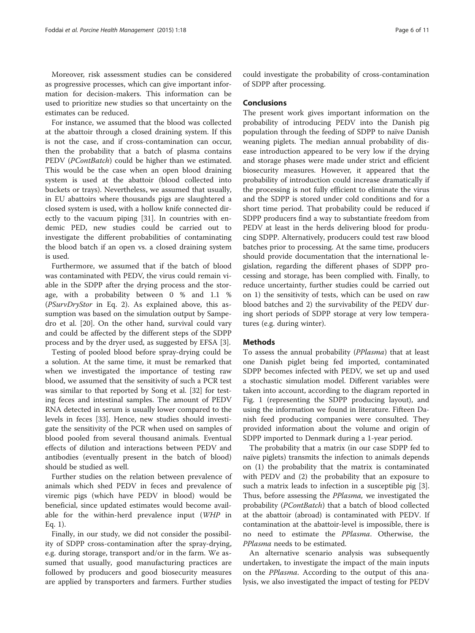Moreover, risk assessment studies can be considered as progressive processes, which can give important information for decision-makers. This information can be used to prioritize new studies so that uncertainty on the estimates can be reduced.

For instance, we assumed that the blood was collected at the abattoir through a closed draining system. If this is not the case, and if cross-contamination can occur, then the probability that a batch of plasma contains PEDV (PContBatch) could be higher than we estimated. This would be the case when an open blood draining system is used at the abattoir (blood collected into buckets or trays). Nevertheless, we assumed that usually, in EU abattoirs where thousands pigs are slaughtered a closed system is used, with a hollow knife connected directly to the vacuum piping [[31\]](#page-10-0). In countries with endemic PED, new studies could be carried out to investigate the different probabilities of contaminating the blood batch if an open vs. a closed draining system is used.

Furthermore, we assumed that if the batch of blood was contaminated with PEDV, the virus could remain viable in the SDPP after the drying process and the storage, with a probability between 0 % and 1.1 % (PSurvDryStor in Eq. [2](#page-8-0)). As explained above, this assumption was based on the simulation output by Sampedro et al. [[20](#page-9-0)]. On the other hand, survival could vary and could be affected by the different steps of the SDPP process and by the dryer used, as suggested by EFSA [\[3](#page-9-0)].

Testing of pooled blood before spray-drying could be a solution. At the same time, it must be remarked that when we investigated the importance of testing raw blood, we assumed that the sensitivity of such a PCR test was similar to that reported by Song et al. [[32\]](#page-10-0) for testing feces and intestinal samples. The amount of PEDV RNA detected in serum is usually lower compared to the levels in feces [\[33\]](#page-10-0). Hence, new studies should investigate the sensitivity of the PCR when used on samples of blood pooled from several thousand animals. Eventual effects of dilution and interactions between PEDV and antibodies (eventually present in the batch of blood) should be studied as well.

Further studies on the relation between prevalence of animals which shed PEDV in feces and prevalence of viremic pigs (which have PEDV in blood) would be beneficial, since updated estimates would become available for the within-herd prevalence input (WHP in Eq. [1](#page-6-0)).

Finally, in our study, we did not consider the possibility of SDPP cross-contamination after the spray-drying, e.g. during storage, transport and/or in the farm. We assumed that usually, good manufacturing practices are followed by producers and good biosecurity measures are applied by transporters and farmers. Further studies could investigate the probability of cross-contamination of SDPP after processing.

#### Conclusions

The present work gives important information on the probability of introducing PEDV into the Danish pig population through the feeding of SDPP to naïve Danish weaning piglets. The median annual probability of disease introduction appeared to be very low if the drying and storage phases were made under strict and efficient biosecurity measures. However, it appeared that the probability of introduction could increase dramatically if the processing is not fully efficient to eliminate the virus and the SDPP is stored under cold conditions and for a short time period. That probability could be reduced if SDPP producers find a way to substantiate freedom from PEDV at least in the herds delivering blood for producing SDPP. Alternatively, producers could test raw blood batches prior to processing. At the same time, producers should provide documentation that the international legislation, regarding the different phases of SDPP processing and storage, has been complied with. Finally, to reduce uncertainty, further studies could be carried out on 1) the sensitivity of tests, which can be used on raw blood batches and 2) the survivability of the PEDV during short periods of SDPP storage at very low temperatures (e.g. during winter).

#### **Methods**

To assess the annual probability (PPlasma) that at least one Danish piglet being fed imported, contaminated SDPP becomes infected with PEDV, we set up and used a stochastic simulation model. Different variables were taken into account, according to the diagram reported in Fig. [1](#page-1-0) (representing the SDPP producing layout), and using the information we found in literature. Fifteen Danish feed producing companies were consulted. They provided information about the volume and origin of SDPP imported to Denmark during a 1-year period.

The probability that a matrix (in our case SDPP fed to naïve piglets) transmits the infection to animals depends on (1) the probability that the matrix is contaminated with PEDV and (2) the probability that an exposure to such a matrix leads to infection in a susceptible pig [\[3](#page-9-0)]. Thus, before assessing the *PPlasma*, we investigated the probability (*PContBatch*) that a batch of blood collected at the abattoir (abroad) is contaminated with PEDV. If contamination at the abattoir-level is impossible, there is no need to estimate the PPlasma. Otherwise, the PPlasma needs to be estimated.

An alternative scenario analysis was subsequently undertaken, to investigate the impact of the main inputs on the PPlasma. According to the output of this analysis, we also investigated the impact of testing for PEDV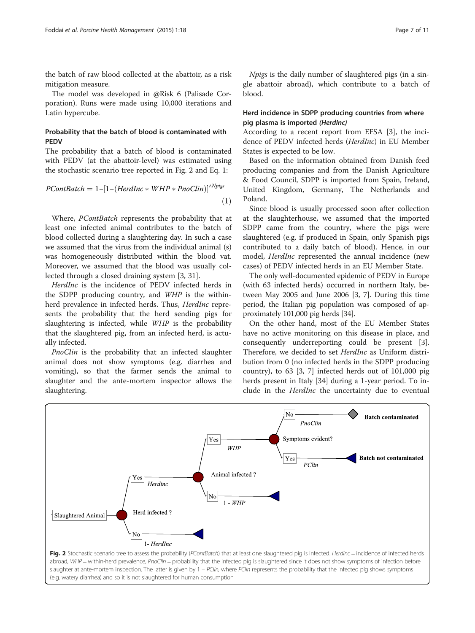<span id="page-6-0"></span>the batch of raw blood collected at the abattoir, as a risk mitigation measure.

The model was developed in @Risk 6 (Palisade Corporation). Runs were made using 10,000 iterations and Latin hypercube.

#### Probability that the batch of blood is contaminated with **PFDV**

The probability that a batch of blood is contaminated with PEDV (at the abattoir-level) was estimated using the stochastic scenario tree reported in Fig. 2 and Eq. 1:

$$
PContBatch = 1 - [1 - (HerdInc * WHP * PnoClin)]^{\land Npigs}
$$
\n(1)

Where, PContBatch represents the probability that at least one infected animal contributes to the batch of blood collected during a slaughtering day. In such a case we assumed that the virus from the individual animal (s) was homogeneously distributed within the blood vat. Moreover, we assumed that the blood was usually collected through a closed draining system [[3,](#page-9-0) [31\]](#page-10-0).

HerdInc is the incidence of PEDV infected herds in the SDPP producing country, and WHP is the withinherd prevalence in infected herds. Thus, HerdInc represents the probability that the herd sending pigs for slaughtering is infected, while WHP is the probability that the slaughtered pig, from an infected herd, is actually infected.

PnoClin is the probability that an infected slaughter animal does not show symptoms (e.g. diarrhea and vomiting), so that the farmer sends the animal to slaughter and the ante-mortem inspector allows the slaughtering.

Npigs is the daily number of slaughtered pigs (in a single abattoir abroad), which contribute to a batch of blood.

#### Herd incidence in SDPP producing countries from where pig plasma is imported (HerdInc)

According to a recent report from EFSA [[3\]](#page-9-0), the incidence of PEDV infected herds (HerdInc) in EU Member States is expected to be low.

Based on the information obtained from Danish feed producing companies and from the Danish Agriculture & Food Council, SDPP is imported from Spain, Ireland, United Kingdom, Germany, The Netherlands and Poland.

Since blood is usually processed soon after collection at the slaughterhouse, we assumed that the imported SDPP came from the country, where the pigs were slaughtered (e.g. if produced in Spain, only Spanish pigs contributed to a daily batch of blood). Hence, in our model, HerdInc represented the annual incidence (new cases) of PEDV infected herds in an EU Member State.

The only well-documented epidemic of PEDV in Europe (with 63 infected herds) occurred in northern Italy, between May 2005 and June 2006 [[3, 7](#page-9-0)]. During this time period, the Italian pig population was composed of approximately 101,000 pig herds [\[34\]](#page-10-0).

On the other hand, most of the EU Member States have no active monitoring on this disease in place, and consequently underreporting could be present [\[3](#page-9-0)]. Therefore, we decided to set *HerdInc* as Uniform distribution from 0 (no infected herds in the SDPP producing country), to 63 [[3, 7\]](#page-9-0) infected herds out of 101,000 pig herds present in Italy [[34](#page-10-0)] during a 1-year period. To include in the HerdInc the uncertainty due to eventual



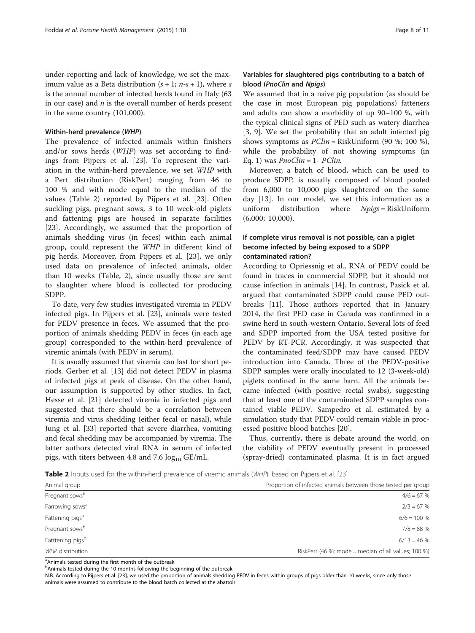under-reporting and lack of knowledge, we set the maximum value as a Beta distribution  $(s + 1; n-s + 1)$ , where s is the annual number of infected herds found in Italy (63 in our case) and  $n$  is the overall number of herds present in the same country (101,000).

#### Within-herd prevalence (WHP)

The prevalence of infected animals within finishers and/or sows herds (WHP) was set according to findings from Pijpers et al. [[23\]](#page-10-0). To represent the variation in the within-herd prevalence, we set WHP with a Pert distribution (RiskPert) ranging from 46 to 100 % and with mode equal to the median of the values (Table 2) reported by Pijpers et al. [[23\]](#page-10-0). Often suckling pigs, pregnant sows, 3 to 10 week-old piglets and fattening pigs are housed in separate facilities [[23\]](#page-10-0). Accordingly, we assumed that the proportion of animals shedding virus (in feces) within each animal group, could represent the WHP in different kind of pig herds. Moreover, from Pijpers et al. [[23\]](#page-10-0), we only used data on prevalence of infected animals, older than 10 weeks (Table, 2), since usually those are sent to slaughter where blood is collected for producing SDPP.

To date, very few studies investigated viremia in PEDV infected pigs. In Pijpers et al. [\[23](#page-10-0)], animals were tested for PEDV presence in feces. We assumed that the proportion of animals shedding PEDV in feces (in each age group) corresponded to the within-herd prevalence of viremic animals (with PEDV in serum).

It is usually assumed that viremia can last for short periods. Gerber et al. [\[13](#page-9-0)] did not detect PEDV in plasma of infected pigs at peak of disease. On the other hand, our assumption is supported by other studies. In fact, Hesse et al. [[21\]](#page-9-0) detected viremia in infected pigs and suggested that there should be a correlation between viremia and virus shedding (either fecal or nasal), while Jung et al. [[33\]](#page-10-0) reported that severe diarrhea, vomiting and fecal shedding may be accompanied by viremia. The latter authors detected viral RNA in serum of infected pigs, with titers between 4.8 and 7.6  $log_{10}$  GE/mL.

### Variables for slaughtered pigs contributing to a batch of blood (PnoClin and Npigs)

We assumed that in a naive pig population (as should be the case in most European pig populations) fatteners and adults can show a morbidity of up 90–100 %, with the typical clinical signs of PED such as watery diarrhea [[3, 9\]](#page-9-0). We set the probability that an adult infected pig shows symptoms as  $PClin = RiskUniform (90 %; 100 %),$ while the probability of not showing symptoms (in Eq. [1](#page-6-0)) was  $PnoClin = 1 - PClin$ .

Moreover, a batch of blood, which can be used to produce SDPP, is usually composed of blood pooled from 6,000 to 10,000 pigs slaughtered on the same day [\[13](#page-9-0)]. In our model, we set this information as a uniform distribution where Npigs = RiskUniform (6,000; 10,000).

#### If complete virus removal is not possible, can a piglet become infected by being exposed to a SDPP contaminated ration?

According to Opriessnig et al., RNA of PEDV could be found in traces in commercial SDPP, but it should not cause infection in animals [\[14](#page-9-0)]. In contrast, Pasick et al. argued that contaminated SDPP could cause PED outbreaks [[11](#page-9-0)]. Those authors reported that in January 2014, the first PED case in Canada was confirmed in a swine herd in south-western Ontario. Several lots of feed and SDPP imported from the USA tested positive for PEDV by RT-PCR. Accordingly, it was suspected that the contaminated feed/SDPP may have caused PEDV introduction into Canada. Three of the PEDV-positive SDPP samples were orally inoculated to 12 (3-week-old) piglets confined in the same barn. All the animals became infected (with positive rectal swabs), suggesting that at least one of the contaminated SDPP samples contained viable PEDV. Sampedro et al. estimated by a simulation study that PEDV could remain viable in processed positive blood batches [\[20](#page-9-0)].

Thus, currently, there is debate around the world, on the viability of PEDV eventually present in processed (spray-dried) contaminated plasma. It is in fact argued

Table 2 Inputs used for the within-herd prevalence of viremic animals (WHP), based on Pijpers et al. [\[23\]](#page-10-0)

| Animal group                | Proportion of infected animals between those tested per group |  |  |
|-----------------------------|---------------------------------------------------------------|--|--|
| Pregnant sows <sup>a</sup>  | $4/6 = 67%$                                                   |  |  |
| Farrowing sows <sup>a</sup> | $2/3 = 67%$                                                   |  |  |
| Fattening pigs <sup>a</sup> | $6/6 = 100%$                                                  |  |  |
| Pregnant sowsb              | $7/8 = 88%$                                                   |  |  |
| Fatttening pigsb            | $6/13 = 46%$                                                  |  |  |
| WHP distribution            | RiskPert (46 %; mode = median of all values; 100 %)           |  |  |

<sup>a</sup>Animals tested during the first month of the outbreak

<sup>b</sup>Animals tested during the 10 months following the beginning of the outbreak

N.B. According to Pijpers et al. [[23](#page-10-0)], we used the proportion of animals shedding PEDV in feces within groups of pigs older than 10 weeks, since only those animals were assumed to contribute to the blood batch collected at the abattoir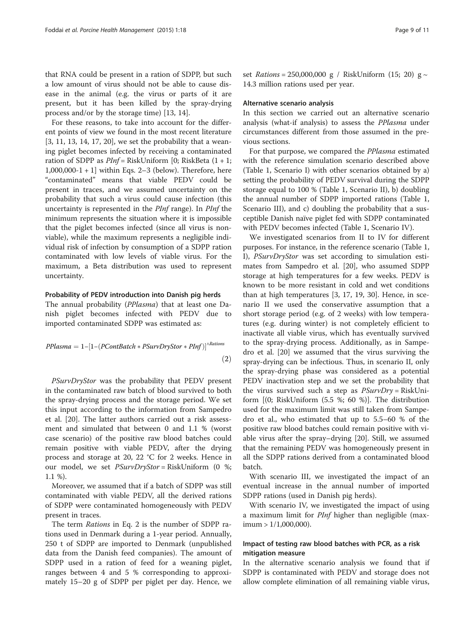<span id="page-8-0"></span>that RNA could be present in a ration of SDPP, but such a low amount of virus should not be able to cause disease in the animal (e.g. the virus or parts of it are present, but it has been killed by the spray-drying process and/or by the storage time) [\[13](#page-9-0), [14](#page-9-0)].

For these reasons, to take into account for the different points of view we found in the most recent literature [[3, 11, 13, 14, 17, 20\]](#page-9-0), we set the probability that a weaning piglet becomes infected by receiving a contaminated ration of SDPP as  $PInf = RiskUniform$  [0; RiskBeta (1 + 1;  $1,000,000-1+1$ ] within Eqs. 2–[3](#page-9-0) (below). Therefore, here "contaminated" means that viable PEDV could be present in traces, and we assumed uncertainty on the probability that such a virus could cause infection (this uncertainty is represented in the PInf range). In PInf the minimum represents the situation where it is impossible that the piglet becomes infected (since all virus is nonviable), while the maximum represents a negligible individual risk of infection by consumption of a SDPP ration contaminated with low levels of viable virus. For the maximum, a Beta distribution was used to represent uncertainty.

#### Probability of PEDV introduction into Danish pig herds

The annual probability (PPlasma) that at least one Danish piglet becomes infected with PEDV due to imported contaminated SDPP was estimated as:

$$
PPlasma = 1 - [1 - (PContBatch * PSurvDryStor * PInf)]^{\land Rations}
$$
\n
$$
\tag{2}
$$

PSurvDryStor was the probability that PEDV present in the contaminated raw batch of blood survived to both the spray-drying process and the storage period. We set this input according to the information from Sampedro et al. [[20\]](#page-9-0). The latter authors carried out a risk assessment and simulated that between 0 and 1.1 % (worst case scenario) of the positive raw blood batches could remain positive with viable PEDV, after the drying process and storage at 20, 22 °C for 2 weeks. Hence in our model, we set *PSurvDryStor* = RiskUniform (0 %; 1.1 %).

Moreover, we assumed that if a batch of SDPP was still contaminated with viable PEDV, all the derived rations of SDPP were contaminated homogeneously with PEDV present in traces.

The term Rations in Eq. 2 is the number of SDPP rations used in Denmark during a 1-year period. Annually, 250 t of SDPP are imported to Denmark (unpublished data from the Danish feed companies). The amount of SDPP used in a ration of feed for a weaning piglet, ranges between 4 and 5 % corresponding to approximately 15–20 g of SDPP per piglet per day. Hence, we set *Rations* = 250,000,000 g / RiskUniform (15; 20) g  $\sim$ 14.3 million rations used per year.

#### Alternative scenario analysis

In this section we carried out an alternative scenario analysis (what-if analysis) to assess the PPlasma under circumstances different from those assumed in the previous sections.

For that purpose, we compared the PPlasma estimated with the reference simulation scenario described above (Table [1](#page-2-0), Scenario I) with other scenarios obtained by a) setting the probability of PEDV survival during the SDPP storage equal to 100 % (Table [1,](#page-2-0) Scenario II), b) doubling the annual number of SDPP imported rations (Table [1](#page-2-0), Scenario III), and c) doubling the probability that a susceptible Danish naïve piglet fed with SDPP contaminated with PEDV becomes infected (Table [1,](#page-2-0) Scenario IV).

We investigated scenarios from II to IV for different purposes. For instance, in the reference scenario (Table [1](#page-2-0), I), PSurvDryStor was set according to simulation estimates from Sampedro et al. [\[20](#page-9-0)], who assumed SDPP storage at high temperatures for a few weeks. PEDV is known to be more resistant in cold and wet conditions than at high temperatures [\[3](#page-9-0), [17, 19,](#page-9-0) [30](#page-10-0)]. Hence, in scenario II we used the conservative assumption that a short storage period (e.g. of 2 weeks) with low temperatures (e.g. during winter) is not completely efficient to inactivate all viable virus, which has eventually survived to the spray-drying process. Additionally, as in Sampedro et al. [\[20\]](#page-9-0) we assumed that the virus surviving the spray-drying can be infectious. Thus, in scenario II, only the spray-drying phase was considered as a potential PEDV inactivation step and we set the probability that the virus survived such a step as  $PSurvDry = RiskUni$ form [(0; RiskUniform (5.5 %; 60 %)]. The distribution used for the maximum limit was still taken from Sampedro et al., who estimated that up to 5.5–60 % of the positive raw blood batches could remain positive with viable virus after the spray–drying [[20\]](#page-9-0). Still, we assumed that the remaining PEDV was homogeneously present in all the SDPP rations derived from a contaminated blood batch.

With scenario III, we investigated the impact of an eventual increase in the annual number of imported SDPP rations (used in Danish pig herds).

With scenario IV, we investigated the impact of using a maximum limit for *PInf* higher than negligible (max $imum > 1/1,000,000$ .

#### Impact of testing raw blood batches with PCR, as a risk mitigation measure

In the alternative scenario analysis we found that if SDPP is contaminated with PEDV and storage does not allow complete elimination of all remaining viable virus,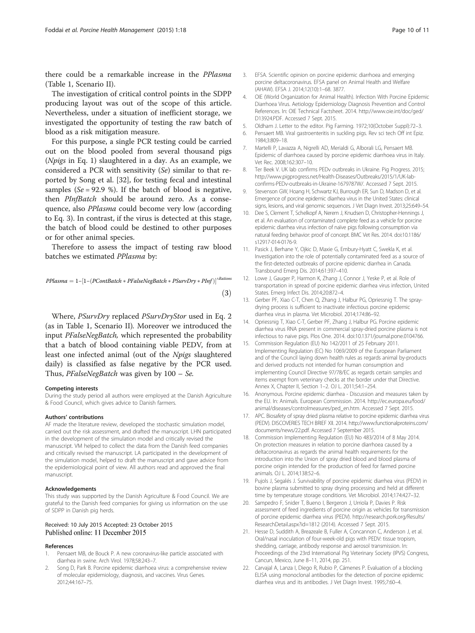<span id="page-9-0"></span>there could be a remarkable increase in the PPlasma (Table [1,](#page-2-0) Scenario II).

The investigation of critical control points in the SDPP producing layout was out of the scope of this article. Nevertheless, under a situation of inefficient storage, we investigated the opportunity of testing the raw batch of blood as a risk mitigation measure.

For this purpose, a single PCR testing could be carried out on the blood pooled from several thousand pigs (Npigs in Eq. [1](#page-6-0)) slaughtered in a day. As an example, we considered a PCR with sensitivity (Se) similar to that reported by Song et al. [\[32\]](#page-10-0), for testing fecal and intestinal samples ( $Se = 92.9$  %). If the batch of blood is negative, then PInfBatch should be around zero. As a consequence, also PPlasma could become very low (according to Eq. 3). In contrast, if the virus is detected at this stage, the batch of blood could be destined to other purposes or for other animal species.

Therefore to assess the impact of testing raw blood batches we estimated PPlasma by:

$$
PPlasma = 1-[1-(PContBatch * PFalseNegBatch * PSurvDry * PInf)]^{\land Rations} \tag{3}
$$

Where, PSurvDry replaced PSurvDryStor used in Eq. [2](#page-8-0) (as in Table [1](#page-2-0), Scenario II). Moreover we introduced the input PFalseNegBatch, which represented the probability that a batch of blood containing viable PEDV, from at least one infected animal (out of the Npigs slaughtered daily) is classified as false negative by the PCR used. Thus, *PFalseNegBatch* was given by  $100 - Se$ .

#### Competing interests

During the study period all authors were employed at the Danish Agriculture & Food Council, which gives advice to Danish farmers.

#### Authors' contributions

AF made the literature review, developed the stochastic simulation model, carried out the risk assessment, and drafted the manuscript. LHN participated in the development of the simulation model and critically revised the manuscript. VM helped to collect the data from the Danish feed companies and critically revised the manuscript. LA participated in the development of the simulation model, helped to draft the manuscript and gave advice from the epidemiological point of view. All authors read and approved the final manuscript.

#### Acknowledgements

This study was supported by the Danish Agriculture & Food Council. We are grateful to the Danish feed companies for giving us information on the use of SDPP in Danish pig herds.

#### Received: 10 July 2015 Accepted: 23 October 2015 Published online: 11 December 2015

#### References

- 1. Pensaert MB, de Bouck P. A new coronavirus-like particle associated with diarrhea in swine. Arch Virol. 1978;58:243–7.
- 2. Song D, Park B. Porcine epidemic diarrhoea virus: a comprehensive review of molecular epidemiology, diagnosis, and vaccines. Virus Genes. 2012;44:167–75.
- 3. EFSA. Scientific opinion on porcine epidemic diarrhoea and emerging porcine deltacoronavirus. EFSA panel on Animal Health and Welfare (AHAW). EFSA J. 2014;12(10):1–68. 3877.
- 4. OIE (World Organization for Animal Health). Infection With Porcine Epidemic Diarrhoea Virus. Aetiology Epidemiology Diagnosis Prevention and Control References. In: OIE Technical Factsheet. 2014. [http://www.oie.int/doc/ged/](http://www.oie.int/doc/ged/D13924.PDF) [D13924.PDF](http://www.oie.int/doc/ged/D13924.PDF). Accessed 7 Sept. 2015.
- 5. Oldham J. Letter to the editor. Pig Farming. 1972;10(October Suppl):72–3.
- 6. Pensaert MB. Viral gastroenteritis in suckling pigs. Rev sci tech Off int Epiz. 1984;3:809–18.
- 7. Martelli P, Lavazza A, Nigrelli AD, Merialdi G, Alborali LG, Pensaert MB. Epidemic of diarrhoea caused by porcine epidemic diarrhoea virus in Italy. Vet Rec. 2008;162:307–10.
- 8. Ter Beek V. UK lab confirms PEDv outbreaks in Ukraine. Pig Progress. 2015; [http://www.pigprogress.net/Health-Diseases/Outbreaks/2015/1/UK-lab](http://www.pigprogress.net/Health-Diseases/Outbreaks/2015/1/UK-lab-confirms-PEDv-outbreaks-in-Ukraine-1679787W/)[confirms-PEDv-outbreaks-in-Ukraine-1679787W/.](http://www.pigprogress.net/Health-Diseases/Outbreaks/2015/1/UK-lab-confirms-PEDv-outbreaks-in-Ukraine-1679787W/) Accessed 7 Sept. 2015.
- 9. Stevenson GW, Hoang H, Schwartz KJ, Burrough ER, Sun D, Madson D, et al. Emergence of porcine epidemic diarrhea virus in the United States: clinical signs, lesions, and viral genomic sequences. J Vet Diagn Invest. 2013;25:649–54.
- 10. Dee S, Clement T, Schelkopf A, Nerem J, Knudsen D, Christopher-Hennings J, et al. An evaluation of contaminated complete feed as a vehicle for porcine epidemic diarrhea virus infection of naïve pigs following consumption via natural feeding behavior: proof of concept. BMC Vet Res. 2014. doi:[10.1186/](http://dx.doi.org/10.1186/s12917-014-0176-9) [s12917-014-0176-9](http://dx.doi.org/10.1186/s12917-014-0176-9).
- 11. Pasick J, Berhane Y, Ojkic D, Maxie G, Embury-Hyatt C, Swekla K, et al. Investigation into the role of potentially contaminated feed as a source of the first-detected outbreaks of porcine epidemic diarrhea in Canada. Transbound Emerg Dis. 2014;61:397–410.
- 12. Lowe J, Gauger P, Harmon K, Zhang J, Connor J, Yeske P, et al. Role of transportation in spread of porcine epidemic diarrhea virus infection, United States. Emerg Infect Dis. 2014;20:872–4.
- 13. Gerber PF, Xiao C-T, Chen Q, Zhang J, Halbur PG, Opriessnig T. The spraydrying process is sufficient to inactivate infectious porcine epidemic diarrhea virus in plasma. Vet Microbiol. 2014;174:86–92.
- 14. Opriessnig T, Xiao C-T, Gerber PF, Zhang J, Halbur PG. Porcine epidemic diarrhea virus RNA present in commercial spray-dried porcine plasma is not infectious to naive pigs. Plos One. 2014. doi:[10.1371/journal.pone.0104766](http://dx.doi.org/10.1371/journal.pone.0104766).
- 15. Commission Regulation (EU) No 142/2011 of 25 February 2011. Implementing Regulation (EC) No 1069/2009 of the European Parliament and of the Council laying down health rules as regards animal by-products and derived products not intended for human consumption and implementing Council Directive 97/78/EC as regards certain samples and items exempt from veterinary checks at the border under that Directive. Annex X, Chapter II, Section 1–2. OJ L. 2011;54:1–254.
- 16. Anonymous. Porcine epidemic diarrhea Discussion and measures taken by the EU. In: Animals. European Commission. 2014. [http://ec.europa.eu/food/](http://ec.europa.eu/food/animal/diseases/controlmeasures/ped_en.htm) [animal/diseases/controlmeasures/ped\\_en.htm.](http://ec.europa.eu/food/animal/diseases/controlmeasures/ped_en.htm) Accessed 7 Sept. 2015.
- 17. APC. Biosafety of spray dried plasma relative to porcine epidemic diarrhea virus (PEDV). DISCOVERIES TECH BRIEF XII. 2014. [http://www.functionalproteins.com/](http://www.functionalproteins.com/documents/news/22.pdf) [documents/news/22.pdf](http://www.functionalproteins.com/documents/news/22.pdf). Accessed 7 September 2015.
- 18. Commission Implementing Regulation (EU) No 483/2014 of 8 May 2014. On protection measures in relation to porcine diarrhoea caused by a deltacoronavirus as regards the animal health requirements for the introduction into the Union of spray dried blood and blood plasma of porcine origin intended for the production of feed for farmed porcine animals. OJ L. 2014;138:52–6.
- 19. Pujols J, Segalés J. Survivability of porcine epidemic diarrhea virus (PEDV) in bovine plasma submitted to spray drying processing and held at different time by temperature storage conditions. Vet Microbiol. 2014;174:427–32.
- 20. Sampedro F, Snider T, Bueno I, Bergeron J, Urriola P, Davies P. Risk assessment of feed ingredients of porcine origin as vehicles for transmission of porcine epidemic diarrhea virus (PEDV). [http://research.pork.org/Results/](http://research.pork.org/Results/ResearchDetail.aspx?id=1812) [ResearchDetail.aspx?id=1812](http://research.pork.org/Results/ResearchDetail.aspx?id=1812) (2014). Accessed 7 Sept. 2015.
- 21. Hesse D, Suddith A, Breazeale B, Fuller A, Concannon C, Anderson J, et al. Oral/nasal inoculation of four-week-old pigs with PEDV: tissue tropism, shedding, carriage, antibody response and aerosol transmission. In: Proceedings of the 23rd International Pig Veterinary Society (IPVS) Congress, Cancun, Mexico, June 8–11, 2014, pp. 251.
- 22. Carvajal A, Lanza I, Diego R, Rubio P, Cámenes P. Evaluation of a blocking ELISA using monoclonal antibodies for the detection of porcine epidemic diarrhea virus and its antibodies. J Vet Diagn Invest. 1995;7:60–4.